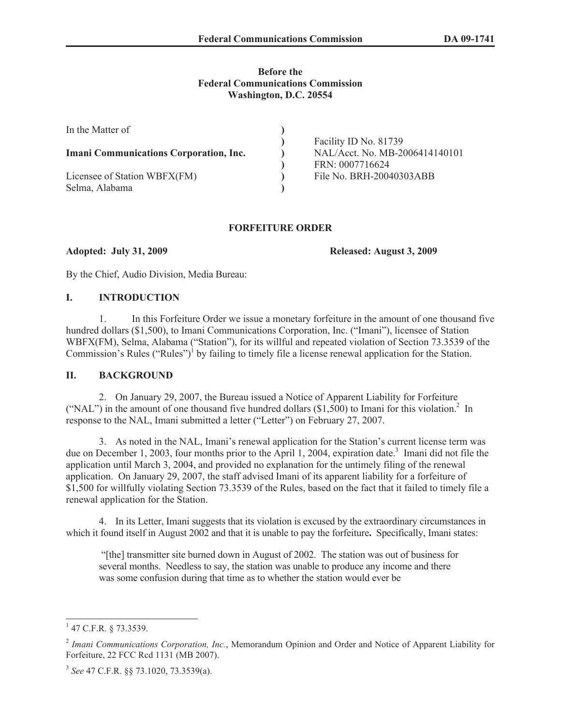## **Before the Federal Communications Commission Washington, D.C. 20554**

| In the Matter of                              |                                |
|-----------------------------------------------|--------------------------------|
|                                               | Facility ID No. 81739          |
| <b>Imani Communications Corporation, Inc.</b> | NAL/Acct. No. MB-2006414140101 |
|                                               | FRN: 0007716624                |
| Licensee of Station WBFX(FM)                  | File No. BRH-20040303ABB       |
| Selma, Alabama                                |                                |

#### **FORFEITURE ORDER**

**Adopted: July 31, 2009 Released: August 3, 2009**

By the Chief, Audio Division, Media Bureau:

# **I. INTRODUCTION**

1. In this Forfeiture Order we issue a monetary forfeiture in the amount of one thousand five hundred dollars (\$1,500), to Imani Communications Corporation, Inc. ("Imani"), licensee of Station WBFX(FM), Selma, Alabama ("Station"), for its willful and repeated violation of Section 73.3539 of the Commission's Rules ("Rules")<sup>1</sup> by failing to timely file a license renewal application for the Station.

# **II. BACKGROUND**

2. On January 29, 2007, the Bureau issued a Notice of Apparent Liability for Forfeiture ("NAL") in the amount of one thousand five hundred dollars  $(\$1,500)$  to Imani for this violation.<sup>2</sup> In response to the NAL, Imani submitted a letter ("Letter") on February 27, 2007.

3. As noted in the NAL, Imani's renewal application for the Station's current license term was due on December 1, 2003, four months prior to the April 1, 2004, expiration date.<sup>3</sup> Imani did not file the application until March 3, 2004, and provided no explanation for the untimely filing of the renewal application. On January 29, 2007, the staff advised Imani of its apparent liability for a forfeiture of \$1,500 for willfully violating Section 73.3539 of the Rules, based on the fact that it failed to timely file a renewal application for the Station.

4. In its Letter, Imani suggests that its violation is excused by the extraordinary circumstances in which it found itself in August 2002 and that it is unable to pay the forfeiture**.** Specifically, Imani states:

"[the] transmitter site burned down in August of 2002. The station was out of business for several months. Needless to say, the station was unable to produce any income and there was some confusion during that time as to whether the station would ever be

 $1$  47 C.F.R. § 73.3539.

<sup>2</sup> *Imani Communications Corporation, Inc.*, Memorandum Opinion and Order and Notice of Apparent Liability for Forfeiture, 22 FCC Rcd 1131 (MB 2007).

<sup>3</sup> *See* 47 C.F.R. §§ 73.1020, 73.3539(a).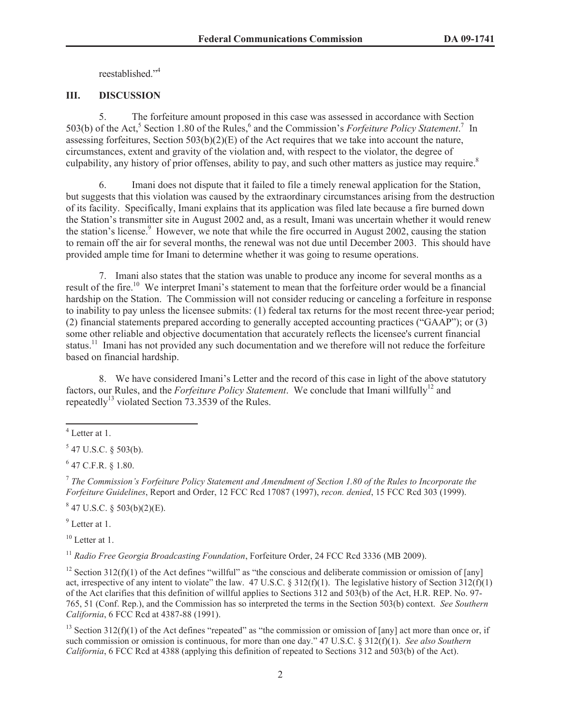reestablished."<sup>4</sup>

# **III. DISCUSSION**

5. The forfeiture amount proposed in this case was assessed in accordance with Section 503(b) of the Act,<sup>5</sup> Section 1.80 of the Rules,<sup>6</sup> and the Commission's *Forfeiture Policy Statement*.<sup>7</sup> In assessing forfeitures, Section  $503(b)(2)(E)$  of the Act requires that we take into account the nature, circumstances, extent and gravity of the violation and, with respect to the violator, the degree of culpability, any history of prior offenses, ability to pay, and such other matters as justice may require.<sup>8</sup>

6. Imani does not dispute that it failed to file a timely renewal application for the Station, but suggests that this violation was caused by the extraordinary circumstances arising from the destruction of its facility. Specifically, Imani explains that its application was filed late because a fire burned down the Station's transmitter site in August 2002 and, as a result, Imani was uncertain whether it would renew the station's license. $9$  However, we note that while the fire occurred in August 2002, causing the station to remain off the air for several months, the renewal was not due until December 2003. This should have provided ample time for Imani to determine whether it was going to resume operations.

7. Imani also states that the station was unable to produce any income for several months as a result of the fire.<sup>10</sup> We interpret Imani's statement to mean that the forfeiture order would be a financial hardship on the Station. The Commission will not consider reducing or canceling a forfeiture in response to inability to pay unless the licensee submits: (1) federal tax returns for the most recent three-year period; (2) financial statements prepared according to generally accepted accounting practices ("GAAP"); or (3) some other reliable and objective documentation that accurately reflects the licensee's current financial status.<sup>11</sup> Imani has not provided any such documentation and we therefore will not reduce the forfeiture based on financial hardship.

8. We have considered Imani's Letter and the record of this case in light of the above statutory factors, our Rules, and the *Forfeiture Policy Statement*. We conclude that Imani willfully<sup>12</sup> and repeatedly<sup>13</sup> violated Section  $73.3539$  of the Rules.

 $6$  47 C.F.R. § 1.80.

7 *The Commission's Forfeiture Policy Statement and Amendment of Section 1.80 of the Rules to Incorporate the Forfeiture Guidelines*, Report and Order, 12 FCC Rcd 17087 (1997), *recon. denied*, 15 FCC Rcd 303 (1999).

 $847$  U.S.C. § 503(b)(2)(E).

<sup>9</sup> Letter at 1.

 $10$  Letter at 1.

<sup>11</sup> *Radio Free Georgia Broadcasting Foundation*, Forfeiture Order, 24 FCC Rcd 3336 (MB 2009).

<sup>12</sup> Section 312(f)(1) of the Act defines "willful" as "the conscious and deliberate commission or omission of [any] act, irrespective of any intent to violate" the law. 47 U.S.C. § 312(f)(1). The legislative history of Section 312(f)(1) of the Act clarifies that this definition of willful applies to Sections 312 and 503(b) of the Act, H.R. REP. No. 97- 765, 51 (Conf. Rep.), and the Commission has so interpreted the terms in the Section 503(b) context. *See Southern California*, 6 FCC Rcd at 4387-88 (1991).

<sup>13</sup> Section 312(f)(1) of the Act defines "repeated" as "the commission or omission of [any] act more than once or, if such commission or omission is continuous, for more than one day." 47 U.S.C. § 312(f)(1). *See also Southern California*, 6 FCC Rcd at 4388 (applying this definition of repeated to Sections 312 and 503(b) of the Act).

<sup>4</sup> Letter at 1.

 $547$  U.S.C. § 503(b).